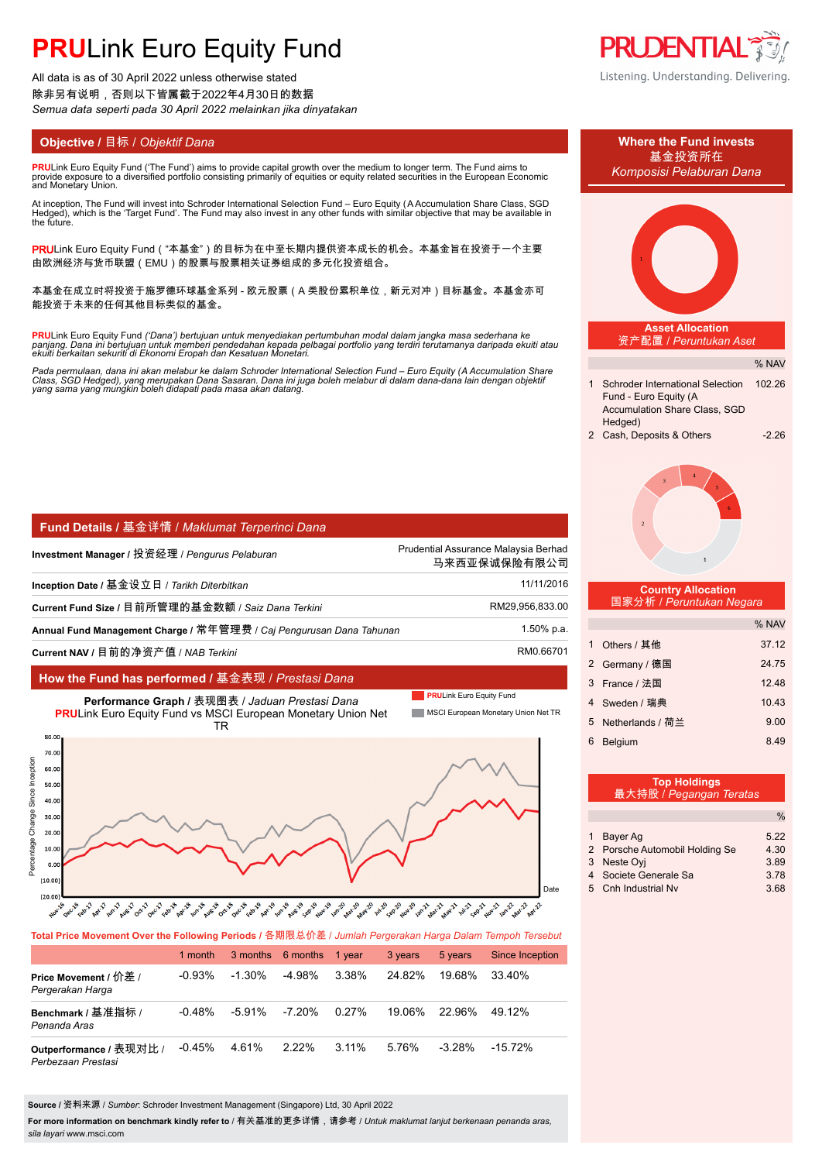# **PRULink Euro Equity Fund**

All data is as of 30 April 2022 unless otherwise stated 除非另有说明,否则以下皆属截于2022年4月30日的数据 *Semua data seperti pada 30 April 2022 melainkan jika dinyatakan*

**PRU**Link Euro Equity Fund ('The Fund') aims to provide capital growth over the medium to longer term. The Fund aims to provide exposure to´a diversified portfolio consisting primarily of equities or equity related securities in the European Economic<br>and Monetary Union.

At inception, The Fund will invest into Schroder International Selection Fund – Euro Equity (A Accumulation Share Class, SGD<br>Hedged), which is the 'Target Fund'. The Fund may also invest in any other funds with similar obj the future.

PRULink Euro Equity Fund ( "本基金" )的目标为在中至长期内提供资本成长的机会。本基金旨在投资于一个主要 由欧洲经济与货币联盟(EMU)的股票与股票相关证券组成的多元化投资组合。

本基金在成立时将投资于施罗德环球基金系列 - 欧元股票(A 类股份累积单位,新元对冲)目标基金。本基金亦可 能投资于未来的任何其他目标类似的基金。

**PRU**Link Euro Equity Fund ('Dana') bertujuan untuk menyediakan pertumbuhan modal dalam jangka masa sederhana ke<br>panjang. Dana ini bertujuan untuk memberi pendedahan kepada pelbagai portfolio yang terdiri terutamanya darip

Pada permulaan, dana ini akan melabur ke dalam Schroder International Selection Fund – Euro Equity (A Accumulation Share<br>Class, SGD Hedged), yang merupakan Dana Sasaran. Dana ini juga boleh melabur di dalam dana-dana lain

| Fund Details / 基金详情 / Maklumat Terperinci Dana |
|------------------------------------------------|
|------------------------------------------------|

| Investment Manager / 投资经理 / Pengurus Pelaburan                      | Prudential Assurance Malaysia Berhad<br>马来西亚保诚保险有限公司 |
|---------------------------------------------------------------------|------------------------------------------------------|
| Inception Date / 基金设立日 / Tarikh Diterbitkan                         | 11/11/2016                                           |
| Current Fund Size / 目前所管理的基金数额 / Saiz Dana Terkini                  | RM29,956,833.00                                      |
| Annual Fund Management Charge / 常年管理费 / Caj Pengurusan Dana Tahunan | 1.50% p.a.                                           |
| Current NAV / 目前的净资产值 / NAB Terkini                                 | RM0.66701                                            |

# **How the Fund has performed /** 基金表现 / *Prestasi Dana*



## **Total Price Movement Over the Following Periods /** 各期限总价差 / *Jumlah Pergerakan Harga Dalam Tempoh Tersebut*

|                                               | 1 month   |           | 3 months 6 months | 1 vear   | 3 years | 5 years   | <b>Since Inception</b> |
|-----------------------------------------------|-----------|-----------|-------------------|----------|---------|-----------|------------------------|
| Price Movement / 价差 /<br>Pergerakan Harga     | $-0.93\%$ | $-1.30\%$ | $-4.98\%$         | 3.38%    | 24.82%  | 19.68%    | 33.40%                 |
| Benchmark / 基准指标 /<br>Penanda Aras            | $-0.48\%$ | $-5.91%$  | -7.20%            | $0.27\%$ | 19.06%  | 22.96%    | 49.12%                 |
| Outperformance / 表现对比 /<br>Perbezaan Prestasi | $-0.45%$  | 4.61%     | $2.22\%$          | $3.11\%$ | 5.76%   | $-3.28\%$ | $-15.72%$              |

**Source /** 资料来源 / *Sumber*: Schroder Investment Management (Singapore) Ltd, 30 April 2022

**For more information on benchmark kindly refer to** / 有关基准的更多详情,请参考 / *Untuk maklumat lanjut berkenaan penanda aras, sila layari* www.msci.com









#### **Country Allocation** 国家分析 / *Peruntukan Negara*

|              |                  | % NAV |
|--------------|------------------|-------|
| $\mathbf{1}$ | Others / 其他      | 37.12 |
|              | 2 Germany / 德国   | 24.75 |
| 3            | France / 法国      | 12.48 |
|              | 4 Sweden / 瑞典    | 10.43 |
| 5            | Netherlands / 荷兰 | 9.00  |
| 6            | <b>Belgium</b>   | 8.49  |

|   | <b>Top Holdings</b><br>最大持股 / Pegangan Teratas |      |
|---|------------------------------------------------|------|
|   |                                                | $\%$ |
|   | Bayer Ag                                       | 5 22 |
|   | 2 Porsche Automobil Holding Se                 | 4.30 |
| 3 | Neste Ovi                                      | 3.89 |
| 4 | Societe Generale Sa                            | 3.78 |
|   | 5 Cnh Industrial Ny                            | 3.68 |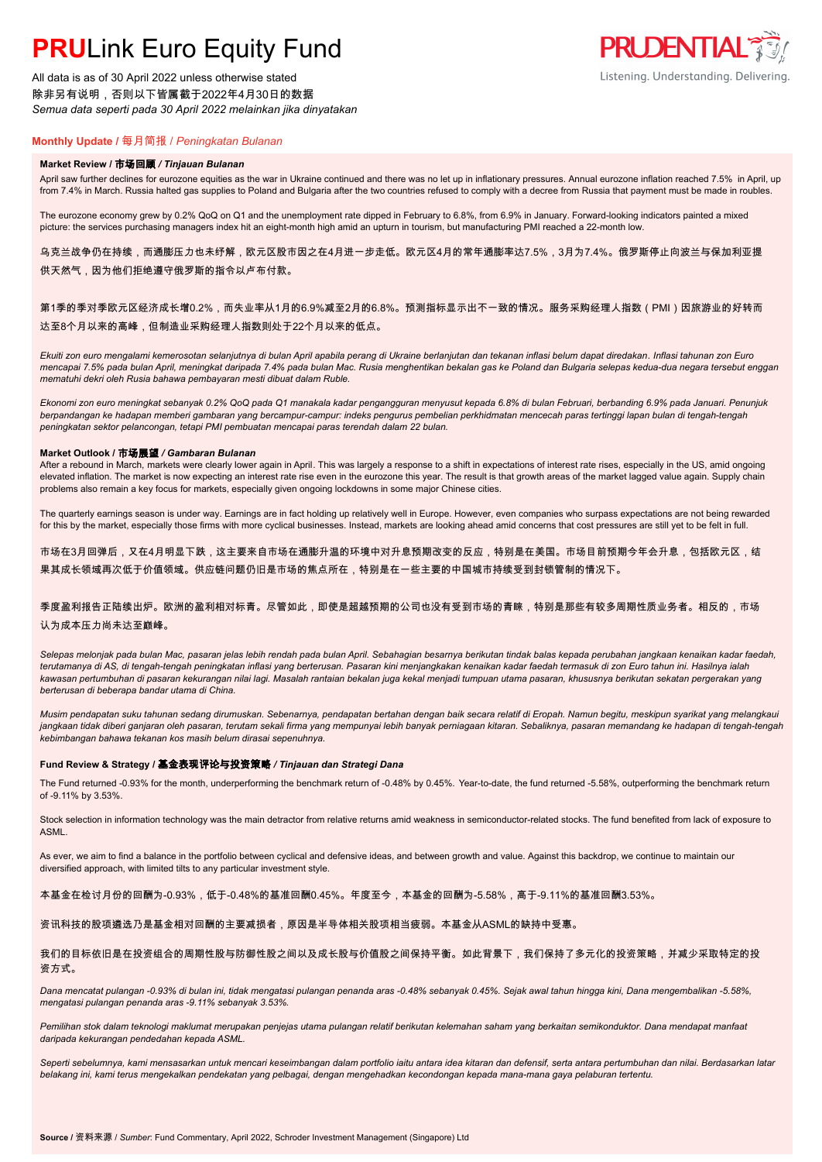# **PRULink Euro Equity Fund**

All data is as of 30 April 2022 unless otherwise stated 除非另有说明,否则以下皆属截于2022年4月30日的数据 *Semua data seperti pada 30 April 2022 melainkan jika dinyatakan*



# **Monthly Update /** 每月简报 / *Peningkatan Bulanan*

### **Market Review /** 市场回顾 */ Tinjauan Bulanan*

April saw further declines for eurozone equities as the war in Ukraine continued and there was no let up in inflationary pressures. Annual eurozone inflation reached 7.5% in April, up from 7.4% in March. Russia halted gas supplies to Poland and Bulgaria after the two countries refused to comply with a decree from Russia that payment must be made in roubles.

The eurozone economy grew by 0.2% QoQ on Q1 and the unemployment rate dipped in February to 6.8%, from 6.9% in January. Forward-looking indicators painted a mixed picture: the services purchasing managers index hit an eight-month high amid an upturn in tourism, but manufacturing PMI reached a 22-month low.

乌克兰战争仍在持续,而通膨压力也未纾解,欧元区股市因之在4月进一步走低。欧元区4月的常年通膨率达7.5%,3月为7.4%。俄罗斯停止向波兰与保加利亚提 供天然气,因为他们拒绝遵守俄罗斯的指令以卢布付款。

# 第1季的季对季欧元区经济成长增0.2%,而失业率从1月的6.9%减至2月的6.8%。预测指标显示出不一致的情况。服务采购经理人指数(PMI)因旅游业的好转而 达至8个月以来的高峰,但制造业采购经理人指数则处于22个月以来的低点。

*Ekuiti zon euro mengalami kemerosotan selanjutnya di bulan April apabila perang di Ukraine berlanjutan dan tekanan inflasi belum dapat diredakan. Inflasi tahunan zon Euro mencapai 7.5% pada bulan April, meningkat daripada 7.4% pada bulan Mac. Rusia menghentikan bekalan gas ke Poland dan Bulgaria selepas kedua-dua negara tersebut enggan mematuhi dekri oleh Rusia bahawa pembayaran mesti dibuat dalam Ruble.*

*Ekonomi zon euro meningkat sebanyak 0.2% QoQ pada Q1 manakala kadar pengangguran menyusut kepada 6.8% di bulan Februari, berbanding 6.9% pada Januari. Penunjuk berpandangan ke hadapan memberi gambaran yang bercampur-campur: indeks pengurus pembelian perkhidmatan mencecah paras tertinggi lapan bulan di tengah-tengah peningkatan sektor pelancongan, tetapi PMI pembuatan mencapai paras terendah dalam 22 bulan.*

## **Market Outlook /** 市场展望 */ Gambaran Bulanan*

After a rebound in March, markets were clearly lower again in April. This was largely a response to a shift in expectations of interest rate rises, especially in the US, amid ongoing elevated inflation. The market is now expecting an interest rate rise even in the eurozone this year. The result is that growth areas of the market lagged value again. Supply chain problems also remain a key focus for markets, especially given ongoing lockdowns in some major Chinese cities.

The quarterly earnings season is under way. Earnings are in fact holding up relatively well in Europe. However, even companies who surpass expectations are not being rewarded for this by the market, especially those firms with more cyclical businesses. Instead, markets are looking ahead amid concerns that cost pressures are still yet to be felt in full.

市场在3月回弹后,又在4月明显下跌,这主要来自市场在通膨升温的环境中对升息预期改变的反应,特别是在美国。市场目前预期今年会升息,包括欧元区,结 果其成长领域再次低于价值领域。供应链问题仍旧是市场的焦点所在,特别是在一些主要的中国城市持续受到封锁管制的情况下。

# 季度盈利报告正陆续出炉。欧洲的盈利相对标青。尽管如此,即使是超越预期的公司也没有受到市场的青睐,特别是那些有较多周期性质业务者。相反的,市场 认为成本压力尚未达至巅峰。

*Selepas melonjak pada bulan Mac, pasaran jelas lebih rendah pada bulan April. Sebahagian besarnya berikutan tindak balas kepada perubahan jangkaan kenaikan kadar faedah, terutamanya di AS, di tengah-tengah peningkatan inflasi yang berterusan. Pasaran kini menjangkakan kenaikan kadar faedah termasuk di zon Euro tahun ini. Hasilnya ialah kawasan pertumbuhan di pasaran kekurangan nilai lagi. Masalah rantaian bekalan juga kekal menjadi tumpuan utama pasaran, khususnya berikutan sekatan pergerakan yang berterusan di beberapa bandar utama di China.*

*Musim pendapatan suku tahunan sedang dirumuskan. Sebenarnya, pendapatan bertahan dengan baik secara relatif di Eropah. Namun begitu, meskipun syarikat yang melangkaui*  jangkaan tidak diberi ganjaran oleh pasaran, terutam sekali firma yang mempunyai lebih banyak perniagaan kitaran. Sebaliknya, pasaran memandang ke hadapan di tengah-tengah *kebimbangan bahawa tekanan kos masih belum dirasai sepenuhnya.*

#### **Fund Review & Strategy /** 基金表现评论与投资策略 */ Tinjauan dan Strategi Dana*

The Fund returned -0.93% for the month, underperforming the benchmark return of -0.48% by 0.45%. Year-to-date, the fund returned -5.58%, outperforming the benchmark return of -9.11% by 3.53%.

Stock selection in information technology was the main detractor from relative returns amid weakness in semiconductor-related stocks. The fund benefited from lack of exposure to ASML.

As ever, we aim to find a balance in the portfolio between cyclical and defensive ideas, and between growth and value. Against this backdrop, we continue to maintain our diversified approach, with limited tilts to any particular investment style.

本基金在检讨月份的回酬为-0.93%,低于-0.48%的基准回酬0.45%。年度至今,本基金的回酬为-5.58%,高于-9.11%的基准回酬3.53%。

资讯科技的股项遴选乃是基金相对回酬的主要减损者,原因是半导体相关股项相当疲弱。本基金从ASML的缺持中受惠。

### 我们的目标依旧是在投资组合的周期性股与防御性股之间以及成长股与价值股之间保持平衡。如此背景下,我们保持了多元化的投资策略,并减少采取特定的投 资方式。

*Dana mencatat pulangan -0.93% di bulan ini, tidak mengatasi pulangan penanda aras -0.48% sebanyak 0.45%. Sejak awal tahun hingga kini, Dana mengembalikan -5.58%, mengatasi pulangan penanda aras -9.11% sebanyak 3.53%.*

Pemilihan stok dalam teknologi maklumat merupakan penjejas utama pulangan relatif berikutan kelemahan saham yang berkaitan semikonduktor. Dana mendapat manfaat *daripada kekurangan pendedahan kepada ASML.*

*Seperti sebelumnya, kami mensasarkan untuk mencari keseimbangan dalam portfolio iaitu antara idea kitaran dan defensif, serta antara pertumbuhan dan nilai. Berdasarkan latar belakang ini, kami terus mengekalkan pendekatan yang pelbagai, dengan mengehadkan kecondongan kepada mana-mana gaya pelaburan tertentu.*